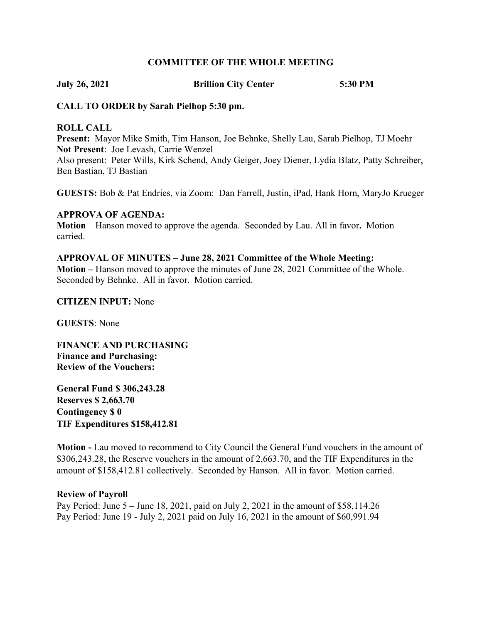#### COMMITTEE OF THE WHOLE MEETING

July 26, 2021 Brillion City Center 5:30 PM

### CALL TO ORDER by Sarah Pielhop 5:30 pm.

#### ROLL CALL

Present: Mayor Mike Smith, Tim Hanson, Joe Behnke, Shelly Lau, Sarah Pielhop, TJ Moehr Not Present: Joe Levash, Carrie Wenzel Also present: Peter Wills, Kirk Schend, Andy Geiger, Joey Diener, Lydia Blatz, Patty Schreiber, Ben Bastian, TJ Bastian

GUESTS: Bob & Pat Endries, via Zoom: Dan Farrell, Justin, iPad, Hank Horn, MaryJo Krueger

#### APPROVA OF AGENDA:

Motion – Hanson moved to approve the agenda. Seconded by Lau. All in favor. Motion carried.

## APPROVAL OF MINUTES – June 28, 2021 Committee of the Whole Meeting:

Motion – Hanson moved to approve the minutes of June 28, 2021 Committee of the Whole. Seconded by Behnke. All in favor. Motion carried.

#### CITIZEN INPUT: None

GUESTS: None

FINANCE AND PURCHASING Finance and Purchasing: Review of the Vouchers:

General Fund \$ 306,243.28 Reserves \$ 2,663.70 Contingency \$ 0 TIF Expenditures \$158,412.81

Motion - Lau moved to recommend to City Council the General Fund vouchers in the amount of \$306,243.28, the Reserve vouchers in the amount of 2,663.70, and the TIF Expenditures in the amount of \$158,412.81 collectively. Seconded by Hanson. All in favor. Motion carried.

#### Review of Payroll

Pay Period: June 5 – June 18, 2021, paid on July 2, 2021 in the amount of \$58,114.26 Pay Period: June 19 - July 2, 2021 paid on July 16, 2021 in the amount of \$60,991.94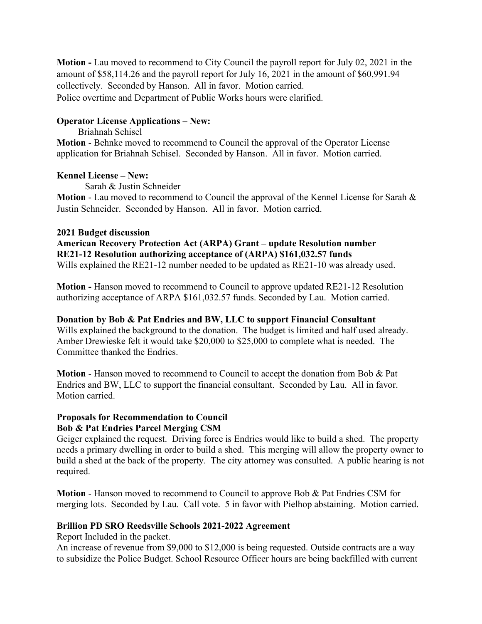Motion - Lau moved to recommend to City Council the payroll report for July 02, 2021 in the amount of \$58,114.26 and the payroll report for July 16, 2021 in the amount of \$60,991.94 collectively. Seconded by Hanson. All in favor. Motion carried. Police overtime and Department of Public Works hours were clarified.

#### Operator License Applications – New:

Briahnah Schisel Motion - Behnke moved to recommend to Council the approval of the Operator License application for Briahnah Schisel. Seconded by Hanson. All in favor. Motion carried.

#### Kennel License – New:

Sarah & Justin Schneider

Motion - Lau moved to recommend to Council the approval of the Kennel License for Sarah & Justin Schneider. Seconded by Hanson. All in favor. Motion carried.

#### 2021 Budget discussion

American Recovery Protection Act (ARPA) Grant – update Resolution number RE21-12 Resolution authorizing acceptance of (ARPA) \$161,032.57 funds

Wills explained the RE21-12 number needed to be updated as RE21-10 was already used.

Motion - Hanson moved to recommend to Council to approve updated RE21-12 Resolution authorizing acceptance of ARPA \$161,032.57 funds. Seconded by Lau. Motion carried.

## Donation by Bob & Pat Endries and BW, LLC to support Financial Consultant

Wills explained the background to the donation. The budget is limited and half used already. Amber Drewieske felt it would take \$20,000 to \$25,000 to complete what is needed. The Committee thanked the Endries.

Motion - Hanson moved to recommend to Council to accept the donation from Bob & Pat Endries and BW, LLC to support the financial consultant. Seconded by Lau. All in favor. Motion carried.

# Proposals for Recommendation to Council

## Bob & Pat Endries Parcel Merging CSM

Geiger explained the request. Driving force is Endries would like to build a shed. The property needs a primary dwelling in order to build a shed. This merging will allow the property owner to build a shed at the back of the property. The city attorney was consulted. A public hearing is not required.

Motion - Hanson moved to recommend to Council to approve Bob & Pat Endries CSM for merging lots. Seconded by Lau. Call vote. 5 in favor with Pielhop abstaining. Motion carried.

## Brillion PD SRO Reedsville Schools 2021-2022 Agreement

Report Included in the packet.

An increase of revenue from \$9,000 to \$12,000 is being requested. Outside contracts are a way to subsidize the Police Budget. School Resource Officer hours are being backfilled with current